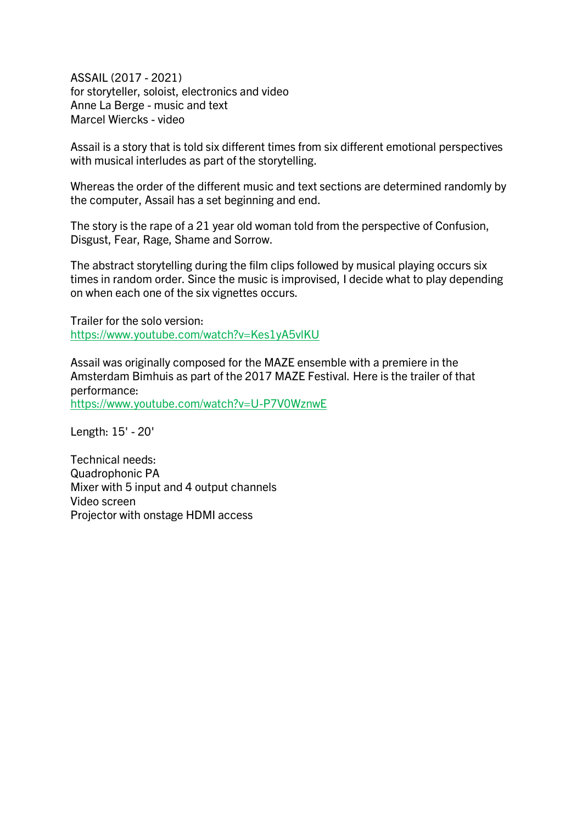ASSAIL (2017 - 2021) for storyteller, soloist, electronics and video Anne La Berge - music and text Marcel Wiercks - video

Assail is a story that is told six different times from six different emotional perspectives with musical interludes as part of the storytelling.

Whereas the order of the different music and text sections are determined randomly by the computer, Assail has a set beginning and end.

The story is the rape of a 21 year old woman told from the perspective of Confusion, Disgust, Fear, Rage, Shame and Sorrow.

The abstract storytelling during the film clips followed by musical playing occurs six times in random order. Since the music is improvised, I decide what to play depending on when each one of the six vignettes occurs.

Trailer for the solo version: <https://www.youtube.com/watch?v=Kes1yA5vlKU>

Assail was originally composed for the MAZE ensemble with a premiere in the Amsterdam Bimhuis as part of the 2017 MAZE Festival. Here is the trailer of that performance: <https://www.youtube.com/watch?v=U-P7V0WznwE>

Length: 15' - 20'

Technical needs: Quadrophonic PA Mixer with 5 input and 4 output channels Video screen Projector with onstage HDMI access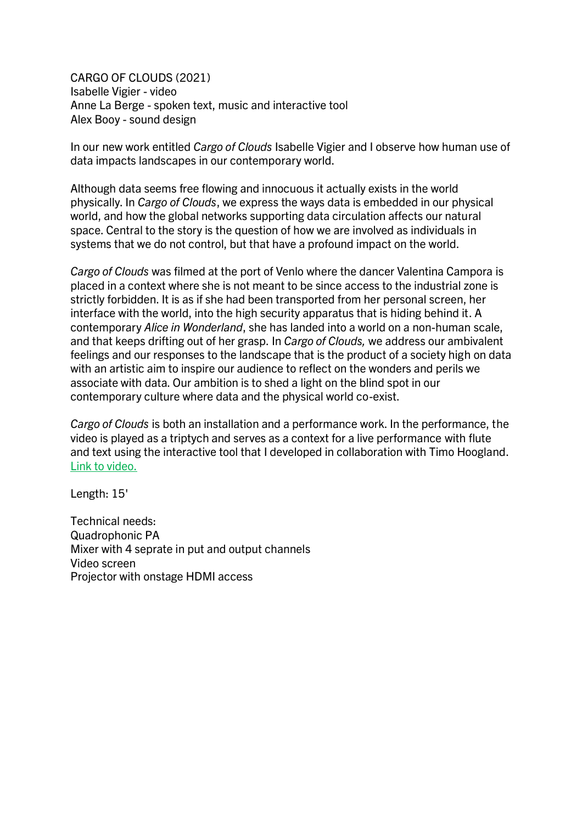CARGO OF CLOUDS (2021) Isabelle Vigier - video Anne La Berge - spoken text, music and interactive tool Alex Booy - sound design

In our new work entitled *Cargo of Clouds* Isabelle Vigier and I observe how human use of data impacts landscapes in our contemporary world.

Although data seems free flowing and innocuous it actually exists in the world physically. In *Cargo of Clouds*, we express the ways data is embedded in our physical world, and how the global networks supporting data circulation affects our natural space. Central to the story is the question of how we are involved as individuals in systems that we do not control, but that have a profound impact on the world.

*Cargo of Clouds* was filmed at the port of Venlo where the dancer Valentina Campora is placed in a context where she is not meant to be since access to the industrial zone is strictly forbidden. It is as if she had been transported from her personal screen, her interface with the world, into the high security apparatus that is hiding behind it. A contemporary *Alice in Wonderland*, she has landed into a world on a non-human scale, and that keeps drifting out of her grasp. In *Cargo of Clouds,* we address our ambivalent feelings and our responses to the landscape that is the product of a society high on data with an artistic aim to inspire our audience to reflect on the wonders and perils we associate with data. Our ambition is to shed a light on the blind spot in our contemporary culture where data and the physical world co-exist.

*Cargo of Clouds* is both an installation and a performance work. In the performance, the video is played as a triptych and serves as a context for a live performance with flute and text using the interactive tool that I developed in collaboration with Timo Hoogland. [Link to video.](https://www.dropbox.com/s/smmyraiye7qf7tu/CoC-3screens-stereo-sound-HEVC.mov?dl=0)

Length: 15'

Technical needs: Quadrophonic PA Mixer with 4 seprate in put and output channels Video screen Projector with onstage HDMI access